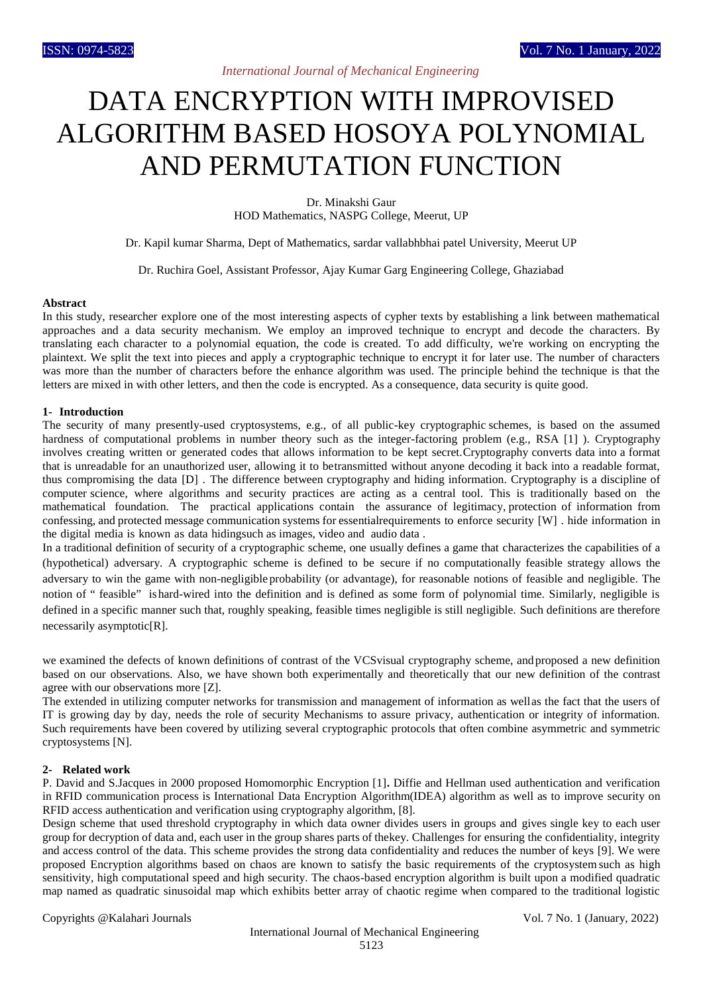# *International Journal of Mechanical Engineering*

# DATA ENCRYPTION WITH IMPROVISED ALGORITHM BASED HOSOYA POLYNOMIAL AND PERMUTATION FUNCTION

Dr. Minakshi Gaur HOD Mathematics, NASPG College, Meerut, UP

Dr. Kapil kumar Sharma, Dept of Mathematics, sardar vallabhbhai patel University, Meerut UP

Dr. Ruchira Goel, Assistant Professor, Ajay Kumar Garg Engineering College, Ghaziabad

#### **Abstract**

In this study, researcher explore one of the most interesting aspects of cypher texts by establishing a link between mathematical approaches and a data security mechanism. We employ an improved technique to encrypt and decode the characters. By translating each character to a polynomial equation, the code is created. To add difficulty, we're working on encrypting the plaintext. We split the text into pieces and apply a cryptographic technique to encrypt it for later use. The number of characters was more than the number of characters before the enhance algorithm was used. The principle behind the technique is that the letters are mixed in with other letters, and then the code is encrypted. As a consequence, data security is quite good.

#### **1- Introduction**

The security of many presently-used cryptosystems, e.g., of all public-key cryptographic schemes, is based on the assumed hardness of computational problems in number theory such as the integer-factoring problem (e.g., RSA [1]). Cryptography involves creating written or generated codes that allows information to be kept secret.Cryptography converts data into a format that is unreadable for an unauthorized user, allowing it to betransmitted without anyone decoding it back into a readable format, thus compromising the data [D] . The difference between cryptography and hiding information. Cryptography is a discipline of computer science, where algorithms and security practices are acting as a central tool. This is traditionally based on the mathematical foundation. The practical applications contain the assurance of legitimacy, protection of information from confessing, and protected message communication systems for essentialrequirements to enforce security [W] . hide information in the digital media is known as data hidingsuch as images, video and audio data .

In a traditional definition of security of a cryptographic scheme, one usually defines a game that characterizes the capabilities of a (hypothetical) adversary. A cryptographic scheme is defined to be secure if no computationally feasible strategy allows the adversary to win the game with non-negligible probability (or advantage), for reasonable notions of feasible and negligible. The notion of " feasible" ishard-wired into the definition and is defined as some form of polynomial time. Similarly, negligible is defined in a specific manner such that, roughly speaking, feasible times negligible is still negligible. Such definitions are therefore necessarily asymptotic[R].

we examined the defects of known definitions of contrast of the VCSvisual cryptography scheme, andproposed a new definition based on our observations. Also, we have shown both experimentally and theoretically that our new definition of the contrast agree with our observations more [Z].

The extended in utilizing computer networks for transmission and management of information as wellas the fact that the users of IT is growing day by day, needs the role of security Mechanisms to assure privacy, authentication or integrity of information. Such requirements have been covered by utilizing several cryptographic protocols that often combine asymmetric and symmetric cryptosystems [N].

## **2- Related work**

P. David and S.Jacques in 2000 proposed Homomorphic Encryption [1]**.** Diffie and Hellman used authentication and verification in RFID communication process is International Data Encryption Algorithm(IDEA) algorithm as well as to improve security on RFID access authentication and verification using cryptography algorithm, [8].

Design scheme that used threshold cryptography in which data owner divides users in groups and gives single key to each user group for decryption of data and, each user in the group shares parts of thekey. Challenges for ensuring the confidentiality, integrity and access control of the data. This scheme provides the strong data confidentiality and reduces the number of keys [9]. We were proposed Encryption algorithms based on chaos are known to satisfy the basic requirements of the cryptosystem such as high sensitivity, high computational speed and high security. The chaos-based encryption algorithm is built upon a modified quadratic map named as quadratic sinusoidal map which exhibits better array of chaotic regime when compared to the traditional logistic

Copyrights @Kalahari Journals Vol. 7 No. 1 (January, 2022)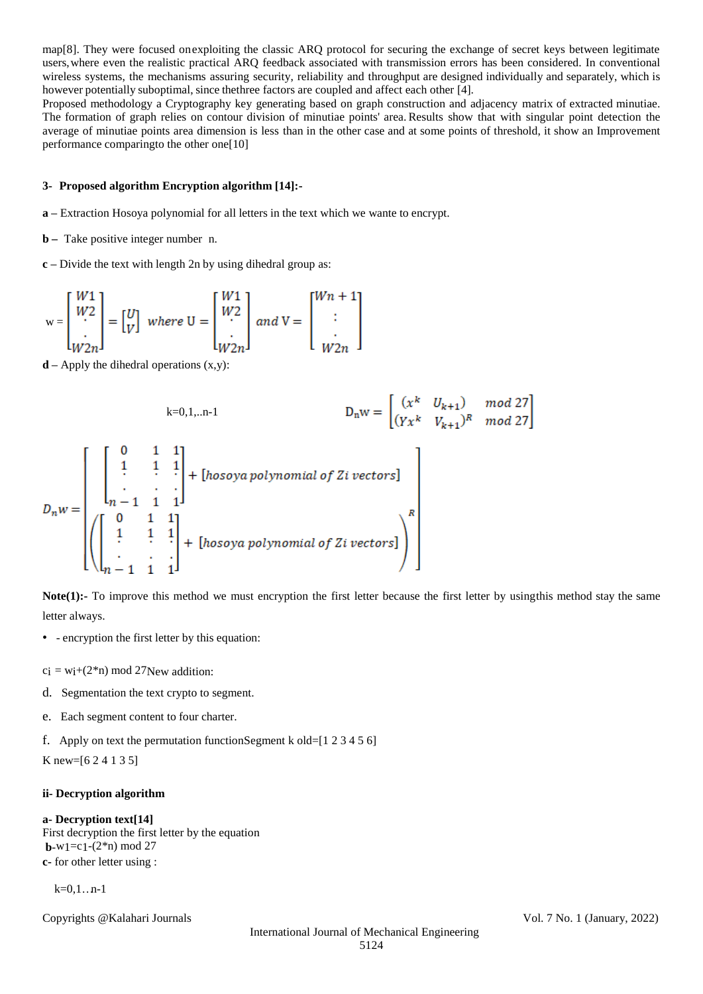map[8]. They were focused onexploiting the classic ARQ protocol for securing the exchange of secret keys between legitimate users,where even the realistic practical ARQ feedback associated with transmission errors has been considered. In conventional wireless systems, the mechanisms assuring security, reliability and throughput are designed individually and separately, which is however potentially suboptimal, since thethree factors are coupled and affect each other [4].

Proposed methodology a Cryptography key generating based on graph construction and adjacency matrix of extracted minutiae. The formation of graph relies on contour division of minutiae points' area. Results show that with singular point detection the average of minutiae points area dimension is less than in the other case and at some points of threshold, it show an Improvement performance comparingto the other one[10]

## **3- Proposed algorithm Encryption algorithm [14]:-**

- **a –** Extraction Hosoya polynomial for all letters in the text which we wante to encrypt.
- **b –** Take positive integer number n.
- **c –** Divide the text with length 2n by using dihedral group as:

$$
\mathbf{w} = \begin{bmatrix} W1 \\ W2 \\ \vdots \\ W2n \end{bmatrix} = \begin{bmatrix} U \\ V \end{bmatrix} \text{ where } \mathbf{U} = \begin{bmatrix} W1 \\ W2 \\ \vdots \\ W2n \end{bmatrix} \text{ and } \mathbf{V} = \begin{bmatrix} Wn+1 \\ \vdots \\ W2n \end{bmatrix}
$$

 $\mathbf{d}$  – Apply the dihedral operations  $(x,y)$ :

$$
b = 0, 1, \dots, n-1
$$
\n
$$
D_n w = \begin{bmatrix} x^k & U_{k+1} & \mod 27 \\ (Yx^k & V_{k+1})^R & \mod 27 \end{bmatrix}
$$
\n
$$
D_n w = \begin{bmatrix} 0 & 1 & 1 \\ 1 & 1 & 1 \\ \vdots & \vdots & \vdots \\ (n-1) & 1 & 1 \\ \vdots & \vdots & \vdots \\ (n-1) & 1 & 1 \end{bmatrix} + [\text{hosoya polynomial of } \text{Z} \text{ i vectors}]
$$

**Note(1):-** To improve this method we must encryption the first letter because the first letter by using this method stay the same letter always.

- - encryption the first letter by this equation:
- $c_i = w_i + (2^*n) \text{ mod } 27$ New addition:
- d. Segmentation the text crypto to segment.
- e. Each segment content to four charter.
- f. Apply on text the permutation functionSegment k old= $[1 2 3 4 5 6]$

K new=[6 2 4 1 3 5]

## **ii- Decryption algorithm**

#### **a- Decryption text[14]**

First decryption the first letter by the equation **b**-w<sub>1</sub>=c<sub>1</sub>- $(2<sup>*</sup>n)$  mod 27 **c-** for other letter using :

 $k=0,1...n-1$ 

Copyrights @Kalahari Journals Vol. 7 No. 1 (January, 2022)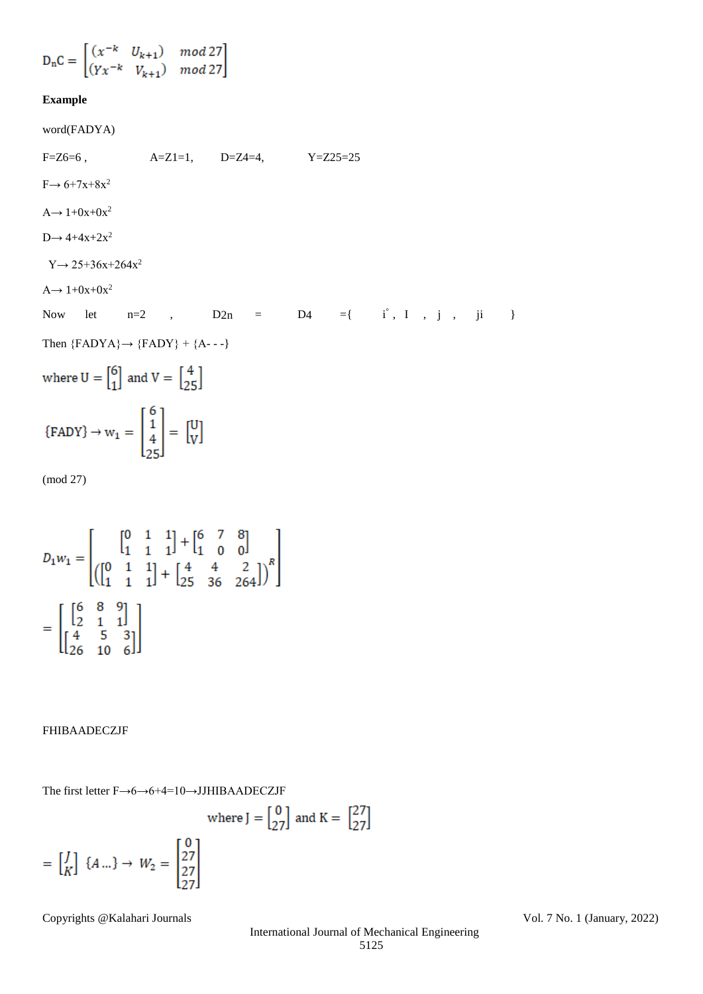$$
\mathbf{D_nC} = \begin{bmatrix} (x^{-k} & U_{k+1}) & mod\, 27\\ (Yx^{-k} & V_{k+1}) & mod\, 27 \end{bmatrix}
$$

# **Example**

word(FADYA)

 $F=Z6=6$ ,  $A=Z1=1$ ,  $D=Z4=4$ ,  $Y=Z25=25$  $F \rightarrow 6+7x+8x^2$  $A \rightarrow 1+0x+0x^2$  $D \rightarrow 4+4x+2x^2$  $Y \rightarrow 25 + 36x + 264x^2$  $A \rightarrow 1+0x+0x^2$ Now let  $n=2$  ,  $D2n = D4 = {i^{\degree}, I^{\degree}, j^{\degree}, j^{\degree}}$ Then  ${FADYA} \rightarrow {FADY} + {A---}$ where  $U = \begin{bmatrix} 6 \\ 1 \end{bmatrix}$  and  $V = \begin{bmatrix} 4 \\ 25 \end{bmatrix}$  $\{FADV\} \rightarrow w_1 = \begin{bmatrix} 6 \\ 1 \\ 4 \\ 25 \end{bmatrix} = \begin{bmatrix} U \\ V \end{bmatrix}$ (mod 27)

$$
D_1 w_1 = \begin{bmatrix} 0 & 1 & 1 \\ 1 & 1 & 1 \end{bmatrix} + \begin{bmatrix} 6 & 7 & 8 \\ 1 & 0 & 0 \end{bmatrix}
$$

$$
= \begin{bmatrix} \begin{bmatrix} 6 & 8 & 9 \\ 2 & 1 & 1 \end{bmatrix} \\ \begin{bmatrix} 4 & 5 & 3 \\ 26 & 10 & 6 \end{bmatrix} \end{bmatrix}
$$

FHIBAADECZJF

The first letter F→6→6+4=10→JJHIBAADECZJF

where 
$$
J = \begin{bmatrix} 0 \\ 27 \end{bmatrix}
$$
 and  $K = \begin{bmatrix} 27 \\ 27 \end{bmatrix}$ 

$$
= \begin{bmatrix} J \\ K \end{bmatrix} \{A \dots\} \to W_2 = \begin{bmatrix} 0 \\ 27 \\ 27 \\ 27 \end{bmatrix}
$$

Copyrights @Kalahari Journals Vol. 7 No. 1 (January, 2022)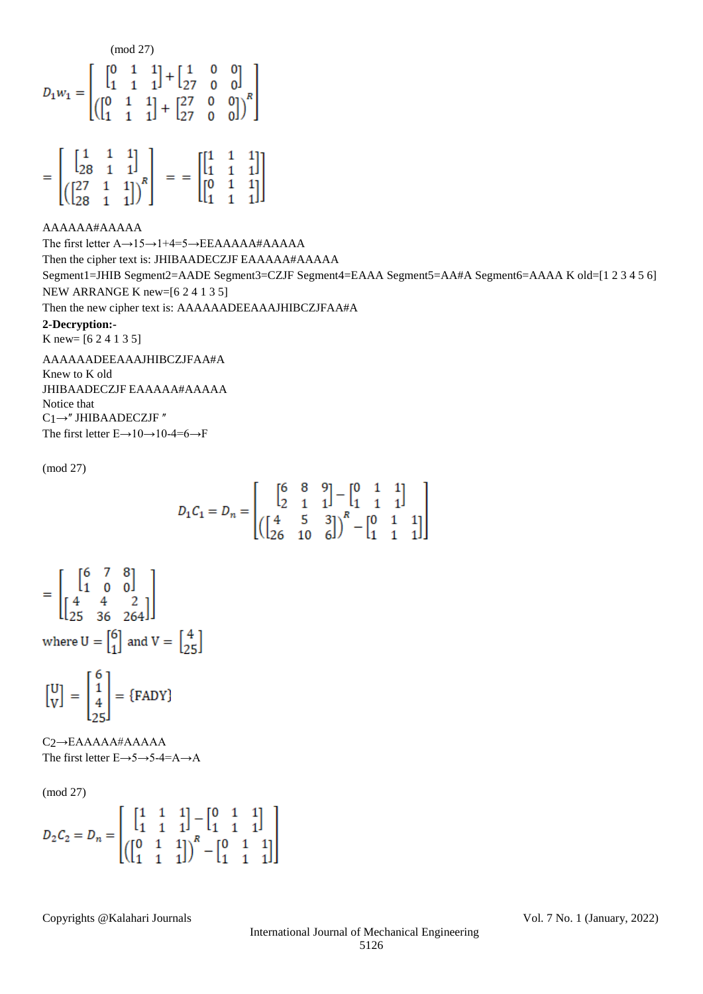$$
D_1 w_1 = \begin{bmatrix} ( \begin{matrix} \text{mod } 27 \end{matrix}) & \begin{matrix} 0 & \text{mod } 27 \end{matrix} \\ \begin{matrix} 0 & \text{mod } 1 \\ 1 & 1 \end{matrix} & \begin{matrix} 1 & 1 & 0 & 0 \\ 1 & 1 & 1 \end{matrix} \end{bmatrix} + \begin{bmatrix} 27 & 0 & 0 \\ 27 & 0 & 0 \end{bmatrix} \end{bmatrix}^R
$$

$$
= \begin{bmatrix} \begin{bmatrix} 1 & 1 & 1 \\ 28 & 1 & 1 \end{bmatrix} \\ \begin{bmatrix} \begin{bmatrix} 27 & 1 & 1 \\ 28 & 1 & 1 \end{bmatrix} \end{bmatrix}^R \\ \end{bmatrix} = = \begin{bmatrix} \begin{bmatrix} 1 & 1 & 1 \\ 1 & 1 & 1 \\ 0 & 1 & 1 \\ 1 & 1 & 1 \end{bmatrix} \end{bmatrix}
$$

AAAAAA#AAAAA The first letter A→15→1+4=5→EEAAAAA#AAAAA Then the cipher text is: JHIBAADECZJF EAAAAA#AAAAA Segment1=JHIB Segment2=AADE Segment3=CZJF Segment4=EAAA Segment5=AA#A Segment6=AAAA K old=[1 2 3 4 5 6] NEW ARRANGE K new=[6 2 4 1 3 5] Then the new cipher text is: AAAAAADEEAAAJHIBCZJFAA#A **2-Decryption:-** K new= [6 2 4 1 3 5] AAAAAADEEAAAJHIBCZJFAA#A Knew to K old JHIBAADECZJF EAAAAA#AAAAA

Notice that  $C1 \rightarrow$ " JHIBAADECZJF " The first letter E→10→10-4=6→F

(mod 27)

$$
D_1 C_1 = D_n = \begin{bmatrix} \begin{bmatrix} 6 & 8 & 9 \\ 2 & 1 & 1 \end{bmatrix} - \begin{bmatrix} 0 & 1 & 1 \\ 1 & 1 & 1 \end{bmatrix} \\ \begin{bmatrix} \begin{bmatrix} 4 & 5 & 3 \\ 26 & 10 & 6 \end{bmatrix} \end{bmatrix}^R - \begin{bmatrix} 0 & 1 & 1 \\ 1 & 1 & 1 \end{bmatrix} \end{bmatrix}
$$

$$
= \begin{bmatrix} \begin{bmatrix} 6 & 7 & 8 \\ 1 & 0 & 0 \end{bmatrix} \\ \begin{bmatrix} 4 & 4 & 2 \\ 25 & 36 & 264 \end{bmatrix} \end{bmatrix}
$$
  
where  $U = \begin{bmatrix} 6 \\ 1 \end{bmatrix}$  and  $V = \begin{bmatrix} 4 \\ 25 \end{bmatrix}$ 

$$
\begin{bmatrix} \mathbf{U} \\ \mathbf{V} \end{bmatrix} = \begin{bmatrix} 6 \\ 1 \\ 4 \\ 25 \end{bmatrix} = \{FADY\}
$$

C<sub>2</sub>→EAAAAA#AAAAA The first letter E→5→5-4=A→A

(mod 27)

$$
D_2 C_2 = D_n = \begin{bmatrix} \begin{bmatrix} 1 & 1 & 1 \\ 1 & 1 & 1 \end{bmatrix} - \begin{bmatrix} 0 & 1 & 1 \\ 1 & 1 & 1 \end{bmatrix} \\ \begin{bmatrix} \begin{bmatrix} 0 & 1 & 1 \\ 1 & 1 & 1 \end{bmatrix} \end{bmatrix}^R - \begin{bmatrix} 0 & 1 & 1 \\ 1 & 1 & 1 \end{bmatrix} \end{bmatrix}
$$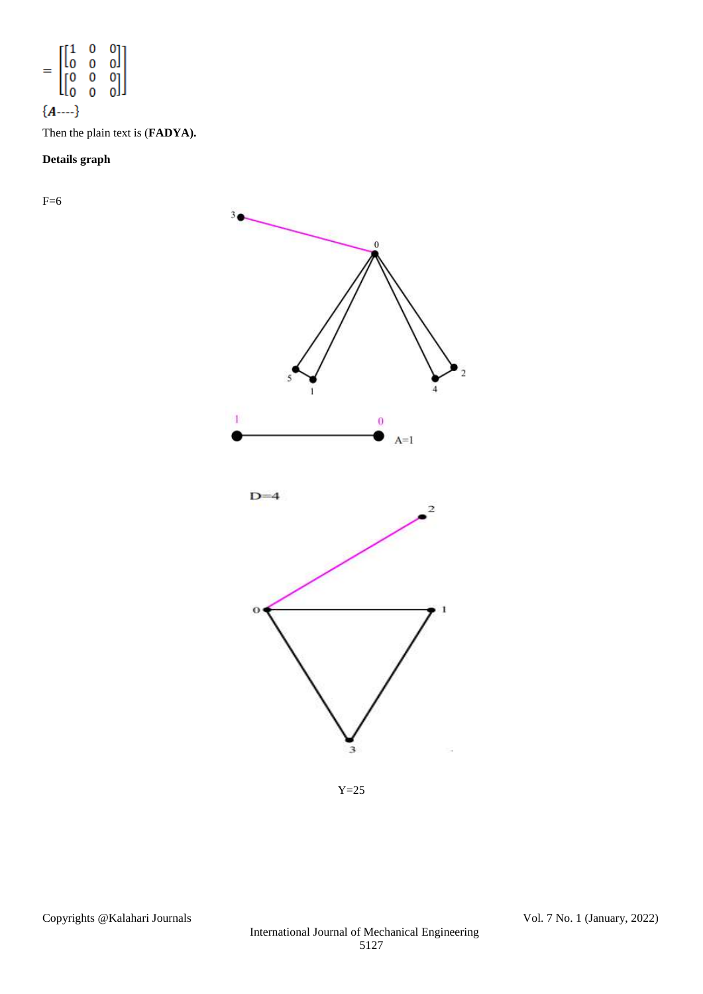$$
= \begin{bmatrix} 1 & 0 & 0 \\ 0 & 0 & 0 \\ 0 & 0 & 0 \\ 0 & 0 & 0 \end{bmatrix}
$$
  
{*A*---}

Then the plain text is (**FADYA).**

# **Details graph**

 $F=6$ 



 $Y=25$